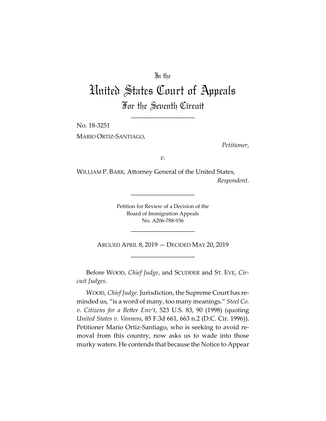## In the

# United States Court of Appeals For the Seventh Circuit

\_\_\_\_\_\_\_\_\_\_\_\_\_\_\_\_\_\_\_\_

No. 18-3251

MARIO ORTIZ-SANTIAGO,

*Petitioner*,

*v.*

WILLIAM P. BARR, Attorney General of the United States,

*Respondent*.

Petition for Review of a Decision of the Board of Immigration Appeals No. A206-788-936

\_\_\_\_\_\_\_\_\_\_\_\_\_\_\_\_\_\_\_\_

ARGUED APRIL 8, 2019 — DECIDED MAY 20, 2019 \_\_\_\_\_\_\_\_\_\_\_\_\_\_\_\_\_\_\_\_

\_\_\_\_\_\_\_\_\_\_\_\_\_\_\_\_\_\_\_\_

Before WOOD, *Chief Judge*, and SCUDDER and ST. EVE, *Circuit Judges*.

WOOD, *Chief Judge*. Jurisdiction, the Supreme Court has reminded us, "is a word of many, too many meanings." *Steel Co. v. Citizens for a Better Env't*, 523 U.S. 83, 90 (1998) (quoting *United States v. Vanness*, 85 F.3d 661, 663 n.2 (D.C. Cir. 1996)). Petitioner Mario Ortiz-Santiago, who is seeking to avoid removal from this country, now asks us to wade into those murky waters. He contends that because the Notice to Appear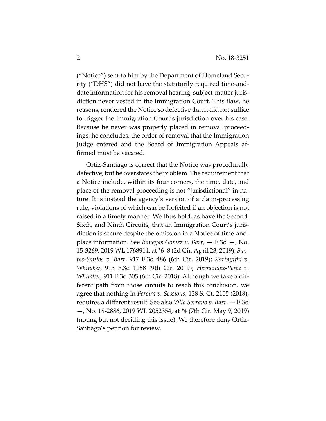("Notice") sent to him by the Department of Homeland Security ("DHS") did not have the statutorily required time-anddate information for his removal hearing, subject-matter jurisdiction never vested in the Immigration Court. This flaw, he reasons, rendered the Notice so defective that it did not suffice to trigger the Immigration Court's jurisdiction over his case. Because he never was properly placed in removal proceedings, he concludes, the order of removal that the Immigration Judge entered and the Board of Immigration Appeals affirmed must be vacated.

Ortiz-Santiago is correct that the Notice was procedurally defective, but he overstates the problem. The requirement that a Notice include, within its four corners, the time, date, and place of the removal proceeding is not "jurisdictional" in nature. It is instead the agency's version of a claim-processing rule, violations of which can be forfeited if an objection is not raised in a timely manner. We thus hold, as have the Second, Sixth, and Ninth Circuits, that an Immigration Court's jurisdiction is secure despite the omission in a Notice of time-andplace information. See *Banegas Gomez v. Barr*, — F.3d —, No. 15-3269, 2019 WL 1768914, at \*6–8 (2d Cir. April 23, 2019); *Santos-Santos v. Barr*, 917 F.3d 486 (6th Cir. 2019); *Karingithi v. Whitaker*, 913 F.3d 1158 (9th Cir. 2019); *Hernandez-Perez v. Whitaker*, 911 F.3d 305 (6th Cir. 2018). Although we take a different path from those circuits to reach this conclusion, we agree that nothing in *Pereira v. Sessions*, 138 S. Ct. 2105 (2018), requires a different result. See also *Villa Serrano v. Barr*, — F.3d —, No. 18-2886, 2019 WL 2052354, at \*4 (7th Cir. May 9, 2019) (noting but not deciding this issue). We therefore deny Ortiz-Santiago's petition for review.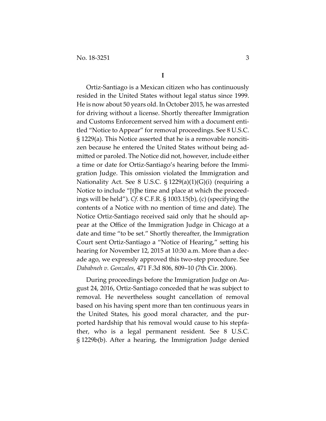Ortiz-Santiago is a Mexican citizen who has continuously resided in the United States without legal status since 1999. He is now about 50 years old. In October 2015, he was arrested for driving without a license. Shortly thereafter Immigration and Customs Enforcement served him with a document entitled "Notice to Appear" for removal proceedings. See 8 U.S.C. § 1229(a). This Notice asserted that he is a removable noncitizen because he entered the United States without being admitted or paroled. The Notice did not, however, include either a time or date for Ortiz-Santiago's hearing before the Immigration Judge. This omission violated the Immigration and Nationality Act. See 8 U.S.C. § 1229(a)(1)(G)(i) (requiring a Notice to include "[t]he time and place at which the proceedings will be held"). *Cf.* 8 C.F.R. § 1003.15(b), (c) (specifying the contents of a Notice with no mention of time and date). The Notice Ortiz-Santiago received said only that he should appear at the Office of the Immigration Judge in Chicago at a date and time "to be set." Shortly thereafter, the Immigration Court sent Ortiz-Santiago a "Notice of Hearing," setting his hearing for November 12, 2015 at 10:30 a.m. More than a decade ago, we expressly approved this two-step procedure. See *Dababneh v. Gonzales*, 471 F.3d 806, 809–10 (7th Cir. 2006).

During proceedings before the Immigration Judge on August 24, 2016, Ortiz-Santiago conceded that he was subject to removal. He nevertheless sought cancellation of removal based on his having spent more than ten continuous years in the United States, his good moral character, and the purported hardship that his removal would cause to his stepfather, who is a legal permanent resident. See 8 U.S.C. § 1229b(b). After a hearing, the Immigration Judge denied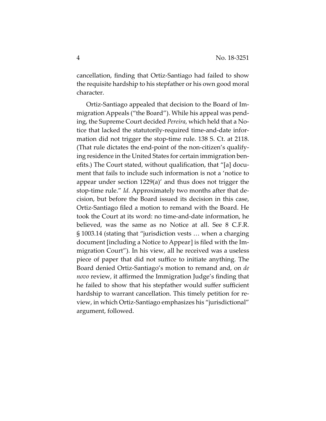cancellation, finding that Ortiz-Santiago had failed to show the requisite hardship to his stepfather or his own good moral character.

Ortiz-Santiago appealed that decision to the Board of Immigration Appeals ("the Board"). While his appeal was pending, the Supreme Court decided *Pereira*, which held that a Notice that lacked the statutorily-required time-and-date information did not trigger the stop-time rule. 138 S. Ct. at 2118. (That rule dictates the end-point of the non-citizen's qualifying residence in the United States for certain immigration benefits.) The Court stated, without qualification, that "[a] document that fails to include such information is not a 'notice to appear under section 1229(a)' and thus does not trigger the stop-time rule." *Id.* Approximately two months after that decision, but before the Board issued its decision in this case, Ortiz-Santiago filed a motion to remand with the Board. He took the Court at its word: no time-and-date information, he believed, was the same as no Notice at all. See 8 C.F.R. § 1003.14 (stating that "jurisdiction vests … when a charging document [including a Notice to Appear] is filed with the Immigration Court"). In his view, all he received was a useless piece of paper that did not suffice to initiate anything. The Board denied Ortiz-Santiago's motion to remand and, on *de novo* review, it affirmed the Immigration Judge's finding that he failed to show that his stepfather would suffer sufficient hardship to warrant cancellation. This timely petition for review, in which Ortiz-Santiago emphasizes his "jurisdictional" argument, followed.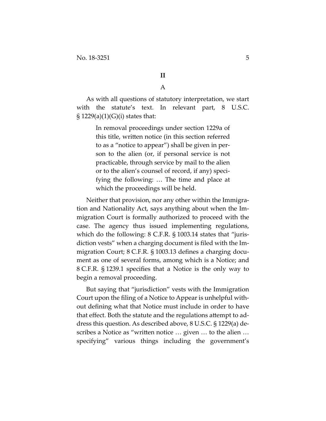**II**

A

As with all questions of statutory interpretation, we start with the statute's text. In relevant part, 8 U.S.C.  $\S 1229(a)(1)(G)(i)$  states that:

> In removal proceedings under section 1229a of this title, written notice (in this section referred to as a "notice to appear") shall be given in person to the alien (or, if personal service is not practicable, through service by mail to the alien or to the alien's counsel of record, if any) specifying the following: … The time and place at which the proceedings will be held.

Neither that provision, nor any other within the Immigration and Nationality Act, says anything about when the Immigration Court is formally authorized to proceed with the case. The agency thus issued implementing regulations, which do the following: 8 C.F.R. § 1003.14 states that "jurisdiction vests" when a charging document is filed with the Immigration Court; 8 C.F.R. § 1003.13 defines a charging document as one of several forms, among which is a Notice; and 8 C.F.R. § 1239.1 specifies that a Notice is the only way to begin a removal proceeding.

But saying that "jurisdiction" vests with the Immigration Court upon the filing of a Notice to Appear is unhelpful without defining what that Notice must include in order to have that effect. Both the statute and the regulations attempt to address this question. As described above, 8 U.S.C. § 1229(a) describes a Notice as "written notice … given … to the alien … specifying" various things including the government's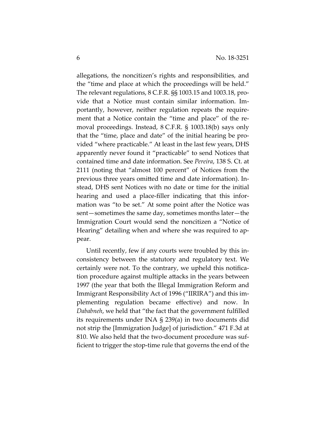allegations, the noncitizen's rights and responsibilities, and the "time and place at which the proceedings will be held." The relevant regulations, 8 C.F.R. §§ 1003.15 and 1003.18, provide that a Notice must contain similar information. Importantly, however, neither regulation repeats the requirement that a Notice contain the "time and place" of the removal proceedings. Instead, 8 C.F.R. § 1003.18(b) says only that the "time, place and date" of the initial hearing be provided "where practicable." At least in the last few years, DHS apparently never found it "practicable" to send Notices that contained time and date information. See *Pereira*, 138 S. Ct. at 2111 (noting that "almost 100 percent" of Notices from the previous three years omitted time and date information). Instead, DHS sent Notices with no date or time for the initial hearing and used a place-filler indicating that this information was "to be set." At some point after the Notice was sent—sometimes the same day, sometimes months later—the Immigration Court would send the noncitizen a "Notice of Hearing" detailing when and where she was required to appear.

Until recently, few if any courts were troubled by this inconsistency between the statutory and regulatory text. We certainly were not. To the contrary, we upheld this notification procedure against multiple attacks in the years between 1997 (the year that both the Illegal Immigration Reform and Immigrant Responsibility Act of 1996 ("IIRIRA") and this implementing regulation became effective) and now. In *Dababneh*, we held that "the fact that the government fulfilled its requirements under INA § 239(a) in two documents did not strip the [Immigration Judge] of jurisdiction." 471 F.3d at 810. We also held that the two-document procedure was sufficient to trigger the stop-time rule that governs the end of the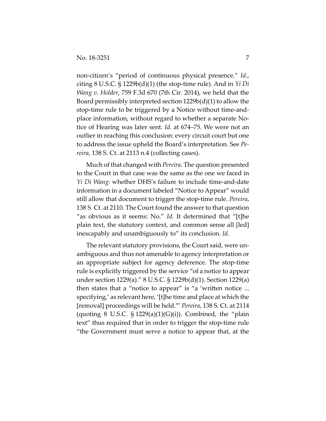non-citizen's "period of continuous physical presence." *Id.*, citing 8 U.S.C. § 1229b(d)(1) (the stop-time rule). And in *Yi Di Wang v. Holder*, 759 F.3d 670 (7th Cir. 2014), we held that the Board permissibly interpreted section  $1229b(d)(1)$  to allow the stop-time rule to be triggered by a Notice without time-andplace information, without regard to whether a separate Notice of Hearing was later sent. *Id.* at 674–75. We were not an outlier in reaching this conclusion: every circuit court but one to address the issue upheld the Board's interpretation. See *Pereira*, 138 S. Ct. at 2113 n.4 (collecting cases).

Much of that changed with *Pereira*. The question presented to the Court in that case was the same as the one we faced in *Yi Di Wang*: whether DHS's failure to include time-and-date information in a document labeled "Notice to Appear" would still allow that document to trigger the stop-time rule. *Pereira*, 138 S. Ct. at 2110. The Court found the answer to that question "as obvious as it seems: No." *Id.* It determined that "[t]he plain text, the statutory context, and common sense all [led] inescapably and unambiguously to" its conclusion. *Id.*

The relevant statutory provisions, the Court said, were unambiguous and thus not amenable to agency interpretation or an appropriate subject for agency deference. The stop-time rule is explicitly triggered by the service "of a notice to appear under section 1229(a)." 8 U.S.C. § 1229b(d)(1). Section 1229(a) then states that a "notice to appear" is "a 'written notice ... specifying,' as relevant here, '[t]he time and place at which the [removal] proceedings will be held.'" *Pereira*, 138 S. Ct. at 2114 (quoting 8 U.S.C.  $\S 1229(a)(1)(G)(i)$ ). Combined, the "plain text" thus required that in order to trigger the stop-time rule "the Government must serve a notice to appear that, at the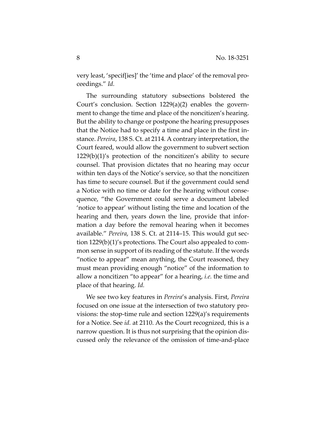very least, 'specif[ies]' the 'time and place' of the removal proceedings." *Id.*

The surrounding statutory subsections bolstered the Court's conclusion. Section 1229(a)(2) enables the government to change the time and place of the noncitizen's hearing. But the ability to change or postpone the hearing presupposes that the Notice had to specify a time and place in the first instance. *Pereira*, 138 S. Ct. at 2114*.* A contrary interpretation, the Court feared, would allow the government to subvert section 1229(b)(1)'s protection of the noncitizen's ability to secure counsel. That provision dictates that no hearing may occur within ten days of the Notice's service, so that the noncitizen has time to secure counsel. But if the government could send a Notice with no time or date for the hearing without consequence, "the Government could serve a document labeled 'notice to appear' without listing the time and location of the hearing and then, years down the line, provide that information a day before the removal hearing when it becomes available." *Pereira*, 138 S. Ct. at 2114–15. This would gut section 1229(b)(1)'s protections. The Court also appealed to common sense in support of its reading of the statute. If the words "notice to appear" mean anything, the Court reasoned, they must mean providing enough "notice" of the information to allow a noncitizen "to appear" for a hearing, *i.e.* the time and place of that hearing. *Id.*

We see two key features in *Pereira*'s analysis. First, *Pereira* focused on one issue at the intersection of two statutory provisions: the stop-time rule and section 1229(a)'s requirements for a Notice. See *id.* at 2110. As the Court recognized, this is a narrow question. It is thus not surprising that the opinion discussed only the relevance of the omission of time-and-place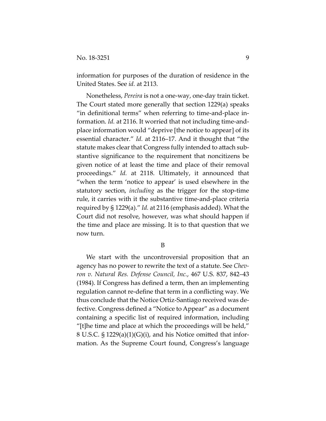information for purposes of the duration of residence in the United States. See *id.* at 2113.

Nonetheless, *Pereira* is not a one-way, one-day train ticket. The Court stated more generally that section 1229(a) speaks "in definitional terms" when referring to time-and-place information. *Id.* at 2116. It worried that not including time-andplace information would "deprive [the notice to appear] of its essential character." *Id.* at 2116–17. And it thought that "the statute makes clear that Congress fully intended to attach substantive significance to the requirement that noncitizens be given notice of at least the time and place of their removal proceedings." *Id.* at 2118. Ultimately, it announced that "when the term 'notice to appear' is used elsewhere in the statutory section, *including* as the trigger for the stop-time rule, it carries with it the substantive time-and-place criteria required by § 1229(a)." *Id.* at 2116 (emphasis added). What the Court did not resolve, however, was what should happen if the time and place are missing. It is to that question that we now turn.

B

We start with the uncontroversial proposition that an agency has no power to rewrite the text of a statute. See *Chevron v. Natural Res. Defense Council, Inc.*, 467 U.S. 837, 842–43 (1984). If Congress has defined a term, then an implementing regulation cannot re-define that term in a conflicting way. We thus conclude that the Notice Ortiz-Santiago received was defective. Congress defined a "Notice to Appear" as a document containing a specific list of required information, including "[t]he time and place at which the proceedings will be held," 8 U.S.C. § 1229(a)(1)(G)(i), and his Notice omitted that information. As the Supreme Court found, Congress's language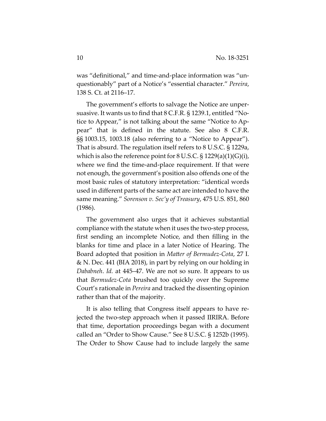was "definitional," and time-and-place information was "unquestionably" part of a Notice's "essential character." *Pereira*, 138 S. Ct. at 2116–17.

The government's efforts to salvage the Notice are unpersuasive. It wants us to find that 8 C.F.R. § 1239.1, entitled "Notice to Appear," is not talking about the same "Notice to Appear" that is defined in the statute. See also 8 C.F.R. §§ 1003.15, 1003.18 (also referring to a "Notice to Appear"). That is absurd. The regulation itself refers to 8 U.S.C. § 1229a, which is also the reference point for 8 U.S.C.  $\S 1229(a)(1)(G)(i)$ , where we find the time-and-place requirement. If that were not enough, the government's position also offends one of the most basic rules of statutory interpretation: "identical words used in different parts of the same act are intended to have the same meaning." *Sorenson v. Sec'y of Treasury*, 475 U.S. 851, 860 (1986).

The government also urges that it achieves substantial compliance with the statute when it uses the two-step process, first sending an incomplete Notice, and then filling in the blanks for time and place in a later Notice of Hearing. The Board adopted that position in *Matter of Bermudez-Cota*, 27 I. & N. Dec. 441 (BIA 2018), in part by relying on our holding in *Dababneh*. *Id.* at 445–47. We are not so sure. It appears to us that *Bermudez-Cota* brushed too quickly over the Supreme Court's rationale in *Pereira* and tracked the dissenting opinion rather than that of the majority.

It is also telling that Congress itself appears to have rejected the two-step approach when it passed IIRIRA. Before that time, deportation proceedings began with a document called an "Order to Show Cause." See 8 U.S.C. § 1252b (1995). The Order to Show Cause had to include largely the same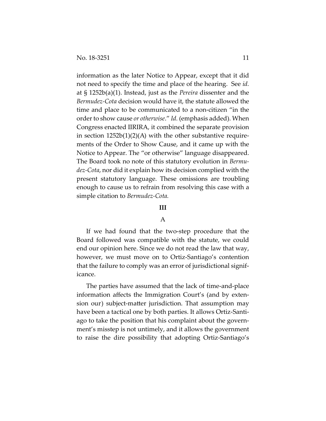information as the later Notice to Appear, except that it did not need to specify the time and place of the hearing. See *id.* at § 1252b(a)(1). Instead, just as the *Pereira* dissenter and the *Bermudez-Cota* decision would have it, the statute allowed the time and place to be communicated to a non-citizen "in the order to show cause *or otherwise*." *Id.* (emphasis added). When Congress enacted IIRIRA, it combined the separate provision in section 1252b(1)(2)(A) with the other substantive requirements of the Order to Show Cause, and it came up with the Notice to Appear. The "or otherwise" language disappeared. The Board took no note of this statutory evolution in *Bermudez-Cota*, nor did it explain how its decision complied with the present statutory language. These omissions are troubling enough to cause us to refrain from resolving this case with a simple citation to *Bermudez-Cota.*

#### **III**

### A

If we had found that the two-step procedure that the Board followed was compatible with the statute, we could end our opinion here. Since we do not read the law that way, however, we must move on to Ortiz-Santiago's contention that the failure to comply was an error of jurisdictional significance.

The parties have assumed that the lack of time-and-place information affects the Immigration Court's (and by extension our) subject-matter jurisdiction. That assumption may have been a tactical one by both parties. It allows Ortiz-Santiago to take the position that his complaint about the government's misstep is not untimely, and it allows the government to raise the dire possibility that adopting Ortiz-Santiago's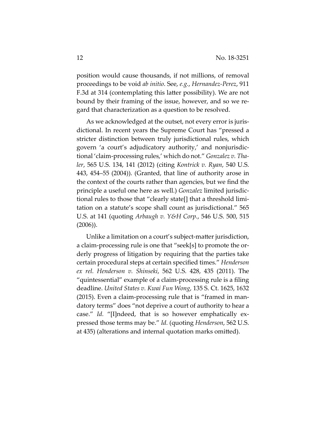position would cause thousands, if not millions, of removal proceedings to be void *ab initio*. See, *e.g.*, *Hernandez-Perez*, 911 F.3d at 314 (contemplating this latter possibility). We are not bound by their framing of the issue, however, and so we regard that characterization as a question to be resolved.

As we acknowledged at the outset, not every error is jurisdictional. In recent years the Supreme Court has "pressed a stricter distinction between truly jurisdictional rules, which govern 'a court's adjudicatory authority,' and nonjurisdictional 'claim-processing rules,' which do not." *Gonzalez v. Thaler*, 565 U.S. 134, 141 (2012) (citing *Kontrick v. Ryan*, 540 U.S. 443, 454–55 (2004)). (Granted, that line of authority arose in the context of the courts rather than agencies, but we find the principle a useful one here as well.) *Gonzalez* limited jurisdictional rules to those that "clearly state[] that a threshold limitation on a statute's scope shall count as jurisdictional." 565 U.S. at 141 (quoting *Arbaugh v. Y&H Corp.*, 546 U.S. 500, 515 (2006)).

Unlike a limitation on a court's subject-matter jurisdiction, a claim-processing rule is one that "seek[s] to promote the orderly progress of litigation by requiring that the parties take certain procedural steps at certain specified times." *Henderson ex rel. Henderson v. Shinseki*, 562 U.S. 428, 435 (2011). The "quintessential" example of a claim-processing rule is a filing deadline. *United States v. Kwai Fun Wong*, 135 S. Ct. 1625, 1632 (2015). Even a claim-processing rule that is "framed in mandatory terms" does "not deprive a court of authority to hear a case." *Id.* "[I]ndeed, that is so however emphatically expressed those terms may be." *Id.* (quoting *Henderson*, 562 U.S. at 435) (alterations and internal quotation marks omitted).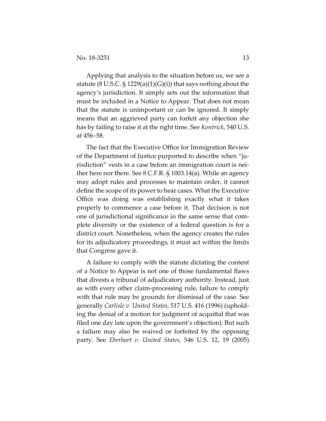Applying that analysis to the situation before us, we see a statute (8 U.S.C.  $\S$  1229(a)(1)(G)(i)) that says nothing about the agency's jurisdiction. It simply sets out the information that must be included in a Notice to Appear. That does not mean that the statute is unimportant or can be ignored. It simply means that an aggrieved party can forfeit any objection she has by failing to raise it at the right time. See *Kontrick*, 540 U.S. at 456–58.

The fact that the Executive Office for Immigration Review of the Department of Justice purported to describe when "jurisdiction" vests in a case before an immigration court is neither here nor there. See 8 C.F.R. § 1003.14(a). While an agency may adopt rules and processes to maintain order, it cannot define the scope of its power to hear cases. What the Executive Office was doing was establishing exactly what it takes properly to commence a case before it. That decision is not one of jurisdictional significance in the same sense that complete diversity or the existence of a federal question is for a district court. Nonetheless, when the agency creates the rules for its adjudicatory proceedings, it must act within the limits that Congress gave it.

A failure to comply with the statute dictating the content of a Notice to Appear is not one of those fundamental flaws that divests a tribunal of adjudicatory authority. Instead, just as with every other claim-processing rule, failure to comply with that rule may be grounds for dismissal of the case. See generally *Carlisle v. United States*, 517 U.S. 416 (1996) (upholding the denial of a motion for judgment of acquittal that was filed one day late upon the government's objection). But such a failure may also be waived or forfeited by the opposing party. See *Eberhart v. United States*, 546 U.S. 12, 19 (2005)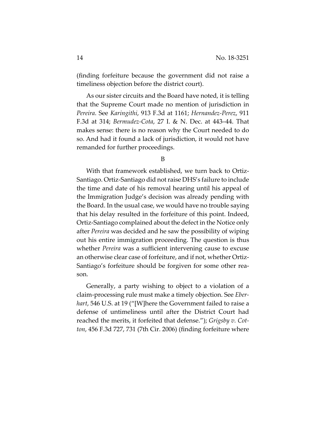(finding forfeiture because the government did not raise a timeliness objection before the district court).

As our sister circuits and the Board have noted, it is telling that the Supreme Court made no mention of jurisdiction in *Pereira*. See *Karingithi*, 913 F.3d at 1161; *Hernandez-Perez*, 911 F.3d at 314; *Bermudez-Cota*, 27 I. & N. Dec. at 443–44. That makes sense: there is no reason why the Court needed to do so. And had it found a lack of jurisdiction, it would not have remanded for further proceedings.

B

With that framework established, we turn back to Ortiz-Santiago. Ortiz-Santiago did not raise DHS's failure to include the time and date of his removal hearing until his appeal of the Immigration Judge's decision was already pending with the Board. In the usual case, we would have no trouble saying that his delay resulted in the forfeiture of this point. Indeed, Ortiz-Santiago complained about the defect in the Notice only after *Pereira* was decided and he saw the possibility of wiping out his entire immigration proceeding. The question is thus whether *Pereira* was a sufficient intervening cause to excuse an otherwise clear case of forfeiture, and if not, whether Ortiz-Santiago's forfeiture should be forgiven for some other reason.

Generally, a party wishing to object to a violation of a claim-processing rule must make a timely objection. See *Eberhart*, 546 U.S. at 19 ("[W]here the Government failed to raise a defense of untimeliness until after the District Court had reached the merits, it forfeited that defense."); *Grigsby v. Cotton*, 456 F.3d 727, 731 (7th Cir. 2006) (finding forfeiture where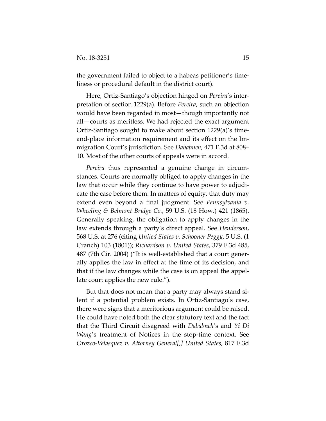the government failed to object to a habeas petitioner's timeliness or procedural default in the district court).

Here, Ortiz-Santiago's objection hinged on *Pereira*'s interpretation of section 1229(a). Before *Pereira*, such an objection would have been regarded in most—though importantly not all—courts as meritless. We had rejected the exact argument Ortiz-Santiago sought to make about section 1229(a)'s timeand-place information requirement and its effect on the Immigration Court's jurisdiction. See *Dababneh*, 471 F.3d at 808– 10. Most of the other courts of appeals were in accord.

*Pereira* thus represented a genuine change in circumstances. Courts are normally obliged to apply changes in the law that occur while they continue to have power to adjudicate the case before them. In matters of equity, that duty may extend even beyond a final judgment. See *Pennsylvania v. Wheeling & Belmont Bridge Co.*, 59 U.S. (18 How.) 421 (1865). Generally speaking, the obligation to apply changes in the law extends through a party's direct appeal. See *Henderson*, 568 U.S. at 276 (citing *United States v. Schooner Peggy*, 5 U.S. (1 Cranch) 103 (1801)); *Richardson v. United States*, 379 F.3d 485, 487 (7th Cir. 2004) ("It is well-established that a court generally applies the law in effect at the time of its decision, and that if the law changes while the case is on appeal the appellate court applies the new rule.").

But that does not mean that a party may always stand silent if a potential problem exists. In Ortiz-Santiago's case, there were signs that a meritorious argument could be raised. He could have noted both the clear statutory text and the fact that the Third Circuit disagreed with *Dababneh*'s and *Yi Di Wang*'s treatment of Notices in the stop-time context. See *Orozco-Velasquez v. Attorney General[,] United States*, 817 F.3d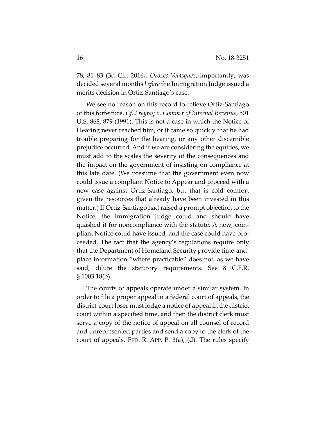78, 81–83 (3d Cir. 2016*). Orozco-Velasquez*, importantly, was decided several months *before* the Immigration Judge issued a merits decision in Ortiz-Santiago's case.

We see no reason on this record to relieve Ortiz-Santiago of this forfeiture. *Cf*. *Freytag v. Comm'r of Internal Revenue*, 501 U.S. 868, 879 (1991). This is not a case in which the Notice of Hearing never reached him, or it came so quickly that he had trouble preparing for the hearing, or any other discernible prejudice occurred. And if we are considering the equities, we must add to the scales the severity of the consequences and the impact on the government of insisting on compliance at this late date. (We presume that the government even now could issue a compliant Notice to Appear and proceed with a new case against Ortiz-Santiago; but that is cold comfort given the resources that already have been invested in this matter.) If Ortiz-Santiago had raised a prompt objection to the Notice, the Immigration Judge could and should have quashed it for noncompliance with the statute. A new, compliant Notice could have issued, and the case could have proceeded. The fact that the agency's regulations require only that the Department of Homeland Security provide time-andplace information "where practicable" does not, as we have said, dilute the statutory requirements. See 8 C.F.R. § 1003.18(b).

The courts of appeals operate under a similar system. In order to file a proper appeal in a federal court of appeals, the district-court loser must lodge a notice of appeal in the district court within a specified time, and then the district clerk must serve a copy of the notice of appeal on all counsel of record and unrepresented parties and send a copy to the clerk of the court of appeals. FED. R. APP. P. 3(a), (d). The rules specify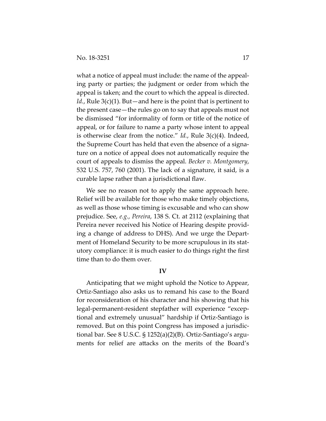what a notice of appeal must include: the name of the appealing party or parties; the judgment or order from which the appeal is taken; and the court to which the appeal is directed. *Id.*, Rule 3(c)(1). But—and here is the point that is pertinent to the present case—the rules go on to say that appeals must not be dismissed "for informality of form or title of the notice of appeal, or for failure to name a party whose intent to appeal is otherwise clear from the notice." *Id.*, Rule 3(c)(4). Indeed, the Supreme Court has held that even the absence of a signature on a notice of appeal does not automatically require the court of appeals to dismiss the appeal. *Becker v. Montgomery*, 532 U.S. 757, 760 (2001). The lack of a signature, it said, is a curable lapse rather than a jurisdictional flaw.

We see no reason not to apply the same approach here. Relief will be available for those who make timely objections, as well as those whose timing is excusable and who can show prejudice. See, *e.g.*, *Pereira*, 138 S. Ct. at 2112 (explaining that Pereira never received his Notice of Hearing despite providing a change of address to DHS). And we urge the Department of Homeland Security to be more scrupulous in its statutory compliance: it is much easier to do things right the first time than to do them over.

#### **IV**

Anticipating that we might uphold the Notice to Appear, Ortiz-Santiago also asks us to remand his case to the Board for reconsideration of his character and his showing that his legal-permanent-resident stepfather will experience "exceptional and extremely unusual" hardship if Ortiz-Santiago is removed. But on this point Congress has imposed a jurisdictional bar. See 8 U.S.C. § 1252(a)(2)(B). Ortiz-Santiago's arguments for relief are attacks on the merits of the Board's